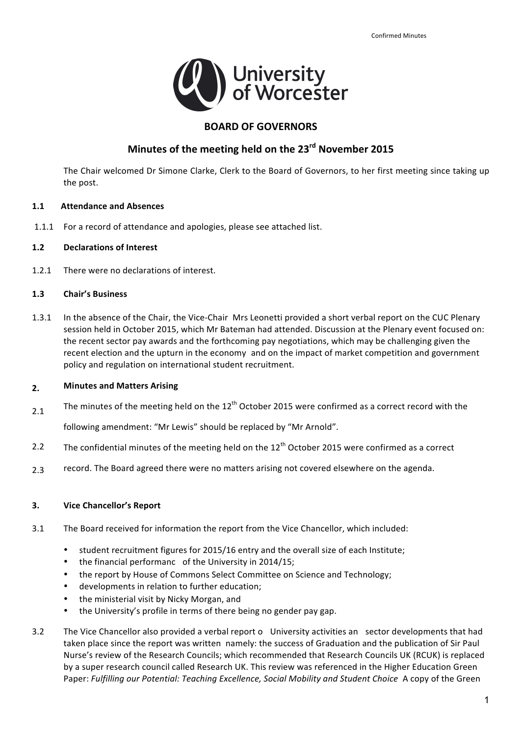

### **BOARD OF GOVERNORS**

## **Minutes of the meeting held on the 23rd November 2015**

The Chair welcomed Dr Simone Clarke, Clerk to the Board of Governors, to her first meeting since taking up the post.

#### **1.1 Attendance and Absences**

1.1.1 For a record of attendance and apologies, please see attached list.

#### **1.2 Declarations of Interest**

 1.2.1 There were no declarations of interest.

#### **1.3 Chair's Business**

1.3.1 In the absence of the Chair, the Vice-Chair Mrs Leonetti provided a short verbal report on the CUC Plenary session held in October 2015, which Mr Bateman had attended. Discussion at the Plenary event focused on: the recent sector pay awards and the forthcoming pay negotiations, which may be challenging given the recent election and the upturn in the economy and on the impact of market competition and government policy and regulation on international student recruitment.

#### **Minutes and Matters Arising 2.**

The minutes of the meeting held on the  $12^{\text{th}}$  October 2015 were confirmed as a correct record with the 2.1

 following amendment: "Mr Lewis" should be replaced by "Mr Arnold".

- The confidential minutes of the meeting held on the  $12^{\text{th}}$  October 2015 were confirmed as a correct 2.2
- record. The Board agreed there were no matters arising not covered elsewhere on the agenda. 2.3

#### **3. Vice Chancellor's Report**

- 3.1 The Board received for information the report from the Vice Chancellor, which included:
	- student recruitment figures for 2015/16 entry and the overall size of each Institute;
	- the financial performanc of the University in 2014/15;
	- the report by House of Commons Select Committee on Science and Technology;
	- developments in relation to further education;
	- the ministerial visit by Nicky Morgan, and
	- the University's profile in terms of there being no gender pay gap.
- 3.2 The Vice Chancellor also provided a verbal report o University activities an sector developments that had taken place since the report was written namely: the success of Graduation and the publication of Sir Paul Nurse's review of the Research Councils; which recommended that Research Councils UK (RCUK) is replaced by a super research council called Research UK. This review was referenced in the Higher Education Green  Paper: *Fulfilling our Potential: Teaching Excellence, Social Mobility and Student Choice* A copy of the Green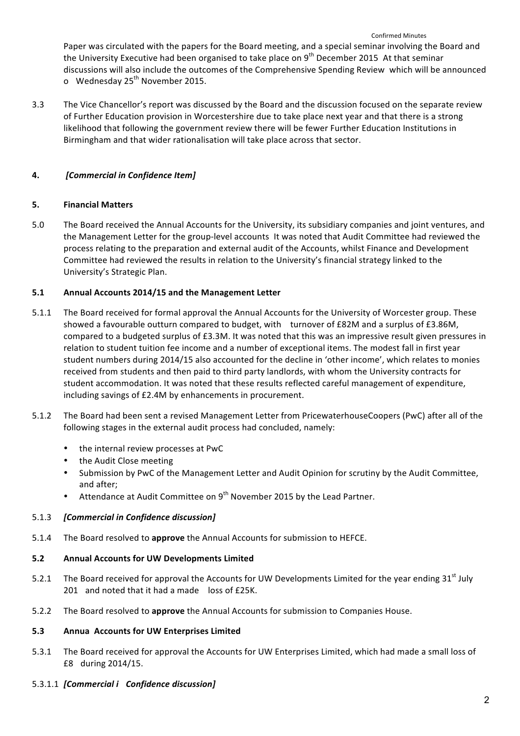Paper was circulated with the papers for the Board meeting, and a special seminar involving the Board and the University Executive had been organised to take place on 9<sup>th</sup> December 2015 At that seminar discussions will also include the outcomes of the Comprehensive Spending Review which will be announced o Wednesday 25<sup>th</sup> November 2015.

3.3 The Vice Chancellor's report was discussed by the Board and the discussion focused on the separate review of Further Education provision in Worcestershire due to take place next year and that there is a strong likelihood that following the government review there will be fewer Further Education Institutions in Birmingham and that wider rationalisation will take place across that sector.

#### **4.** *[Commercial in Confidence Item]*

#### **5. Financial Matters**

5.0 The Board received the Annual Accounts for the University, its subsidiary companies and joint ventures, and the Management Letter for the group-level accounts It was noted that Audit Committee had reviewed the process relating to the preparation and external audit of the Accounts, whilst Finance and Development Committee had reviewed the results in relation to the University's financial strategy linked to the University's Strategic Plan.

#### **5.1 Annual Accounts 2014/15 and the Management Letter**

- 5.1.1 The Board received for formal approval the Annual Accounts for the University of Worcester group. These showed a favourable outturn compared to budget, with turnover of £82M and a surplus of £3.86M, compared to a budgeted surplus of £3.3M. It was noted that this was an impressive result given pressures in relation to student tuition fee income and a number of exceptional items. The modest fall in first year student numbers during 2014/15 also accounted for the decline in 'other income', which relates to monies received from students and then paid to third party landlords, with whom the University contracts for student accommodation. It was noted that these results reflected careful management of expenditure, including savings of £2.4M by enhancements in procurement.
- 5.1.2 The Board had been sent a revised Management Letter from PricewaterhouseCoopers (PwC) after all of the following stages in the external audit process had concluded, namely:
	- the internal review processes at PwC
	- the Audit Close meeting
	- Submission by PwC of the Management Letter and Audit Opinion for scrutiny by the Audit Committee, and after;
	- Attendance at Audit Committee on  $9^{th}$  November 2015 by the Lead Partner.

#### 5.1.3 *[Commercial in Confidence discussion]*

5.1.4 The Board resolved to **approve** the Annual Accounts for submission to HEFCE.

#### **5.2 Annual Accounts for UW Developments Limited**

- 5.2.1 The Board received for approval the Accounts for UW Developments Limited for the year ending 31<sup>st</sup> July 201 and noted that it had a made loss of £25K.
- 5.2.2 The Board resolved to approve the Annual Accounts for submission to Companies House.

#### **5.3 Annua Accounts for UW Enterprises Limited**

5.3.1 The Board received for approval the Accounts for UW Enterprises Limited, which had made a small loss of £8 during 2014/15.

#### 5.3.1.1 *[Commercial i Confidence discussion]*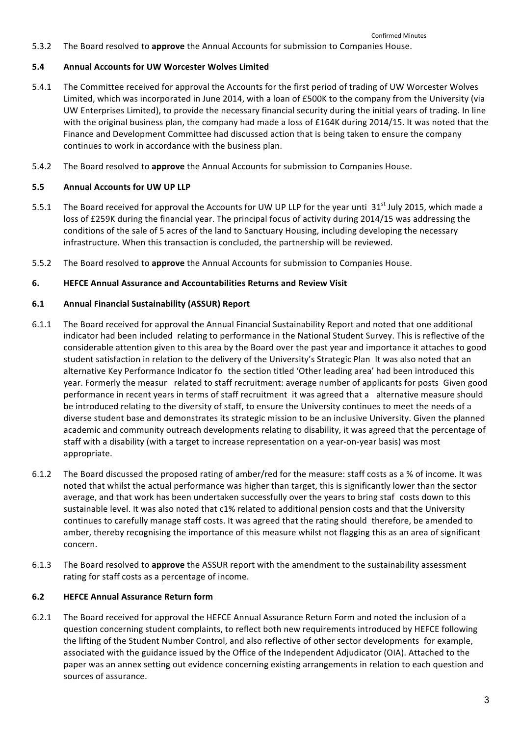5.3.2 The Board resolved to approve the Annual Accounts for submission to Companies House.

#### **5.4 Annual Accounts for UW Worcester Wolves Limited**

- 5.4.1 The Committee received for approval the Accounts for the first period of trading of UW Worcester Wolves Limited, which was incorporated in June 2014, with a loan of £500K to the company from the University (via UW Enterprises Limited), to provide the necessary financial security during the initial years of trading. In line with the original business plan, the company had made a loss of £164K during 2014/15. It was noted that the Finance and Development Committee had discussed action that is being taken to ensure the company continues to work in accordance with the business plan.
- 5.4.2 The Board resolved to approve the Annual Accounts for submission to Companies House.

#### **5.5 Annual Accounts for UW UP LLP**

- 5.5.1 The Board received for approval the Accounts for UW UP LLP for the year unti 31<sup>st</sup> July 2015, which made a conditions of the sale of 5 acres of the land to Sanctuary Housing, including developing the necessary infrastructure. When this transaction is concluded, the partnership will be reviewed. loss of £259K during the financial year. The principal focus of activity during 2014/15 was addressing the
- 5.5.2 The Board resolved to approve the Annual Accounts for submission to Companies House.

#### **6. HEFCE Annual Assurance and Accountabilities Returns and Review Visit**

#### **6.1 Annual Financial Sustainability (ASSUR) Report**

- 6.1.1 The Board received for approval the Annual Financial Sustainability Report and noted that one additional considerable attention given to this area by the Board over the past year and importance it attaches to good student satisfaction in relation to the delivery of the University's Strategic Plan It was also noted that an alternative Key Performance Indicator fo the section titled 'Other leading area' had been introduced this year. Formerly the measur related to staff recruitment: average number of applicants for posts Given good performance in recent years in terms of staff recruitment it was agreed that a alternative measure should be introduced relating to the diversity of staff, to ensure the University continues to meet the needs of a diverse student base and demonstrates its strategic mission to be an inclusive University. Given the planned academic and community outreach developments relating to disability, it was agreed that the percentage of staff with a disability (with a target to increase representation on a year-on-year basis) was most indicator had been included relating to performance in the National Student Survey. This is reflective of the appropriate.
- 6.1.2 The Board discussed the proposed rating of amber/red for the measure: staff costs as a % of income. It was noted that whilst the actual performance was higher than target, this is significantly lower than the sector average, and that work has been undertaken successfully over the years to bring staf costs down to this sustainable level. It was also noted that c1% related to additional pension costs and that the University continues to carefully manage staff costs. It was agreed that the rating should therefore, be amended to amber, thereby recognising the importance of this measure whilst not flagging this as an area of significant concern.
- 6.1.3 The Board resolved to **approve** the ASSUR report with the amendment to the sustainability assessment rating for staff costs as a percentage of income.

#### **6.2 HEFCE Annual Assurance Return form**

6.2.1 The Board received for approval the HEFCE Annual Assurance Return Form and noted the inclusion of a question concerning student complaints, to reflect both new requirements introduced by HEFCE following the lifting of the Student Number Control, and also reflective of other sector developments for example, associated with the guidance issued by the Office of the Independent Adjudicator (OIA). Attached to the paper was an annex setting out evidence concerning existing arrangements in relation to each question and sources of assurance.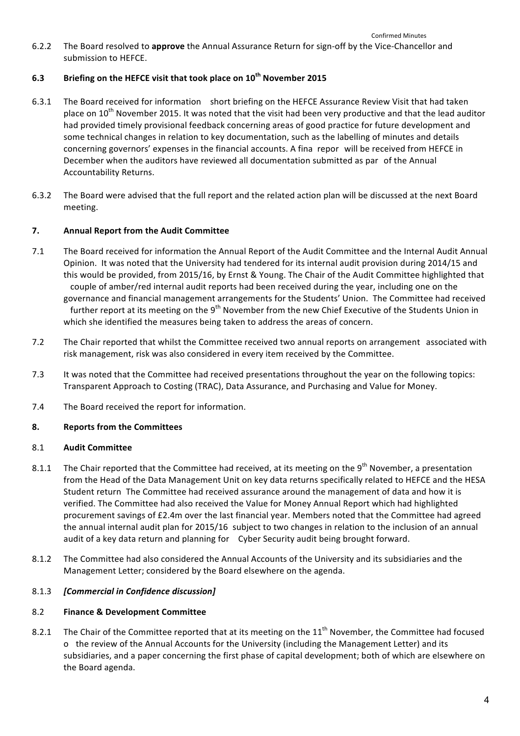6.2.2 The Board resolved to approve the Annual Assurance Return for sign-off by the Vice-Chancellor and submission to HEFCE.

#### **6.3 Briefing on the HEFCE visit that took place on 10th November 2015**

- 6.3.1 The Board received for information short briefing on the HEFCE Assurance Review Visit that had taken place on 10<sup>th</sup> November 2015. It was noted that the visit had been very productive and that the lead auditor had provided timely provisional feedback concerning areas of good practice for future development and some technical changes in relation to key documentation, such as the labelling of minutes and details concerning governors' expenses in the financial accounts. A fina repor will be received from HEFCE in December when the auditors have reviewed all documentation submitted as par of the Annual Accountability Returns.
- 6.3.2 The Board were advised that the full report and the related action plan will be discussed at the next Board meeting.

#### **7. Annual Report from the Audit Committee**

- 7.1 The Board received for information the Annual Report of the Audit Committee and the Internal Audit Annual Opinion. It was noted that the University had tendered for its internal audit provision during 2014/15 and this would be provided, from 2015/16, by Ernst & Young. The Chair of the Audit Committee highlighted that couple of amber/red internal audit reports had been received during the year, including one on the governance and financial management arrangements for the Students' Union. The Committee had received further report at its meeting on the 9<sup>th</sup> November from the new Chief Executive of the Students Union in which she identified the measures being taken to address the areas of concern.
- 7.2 The Chair reported that whilst the Committee received two annual reports on arrangement associated with risk management, risk was also considered in every item received by the Committee.
- 7.3 It was noted that the Committee had received presentations throughout the year on the following topics: Transparent Approach to Costing (TRAC), Data Assurance, and Purchasing and Value for Money.
- 7.4 The Board received the report for information.

#### **8. Reports from the Committees**

#### 8.1 **Audit Committee**

- 8.1.1 The Chair reported that the Committee had received, at its meeting on the 9<sup>th</sup> November, a presentation from the Head of the Data Management Unit on key data returns specifically related to HEFCE and the HESA Student return The Committee had received assurance around the management of data and how it is verified. The Committee had also received the Value for Money Annual Report which had highlighted procurement savings of £2.4m over the last financial year. Members noted that the Committee had agreed the annual internal audit plan for 2015/16 subject to two changes in relation to the inclusion of an annual audit of a key data return and planning for Cyber Security audit being brought forward.
- 8.1.2 The Committee had also considered the Annual Accounts of the University and its subsidiaries and the Management Letter; considered by the Board elsewhere on the agenda.

#### 8.1.3 *[Commercial in Confidence discussion]*

#### 8.2 **Finance & Development Committee**

8.2.1 The Chair of the Committee reported that at its meeting on the  $11^{\text{th}}$  November, the Committee had focused o the review of the Annual Accounts for the University (including the Management Letter) and its subsidiaries, and a paper concerning the first phase of capital development; both of which are elsewhere on the Board agenda.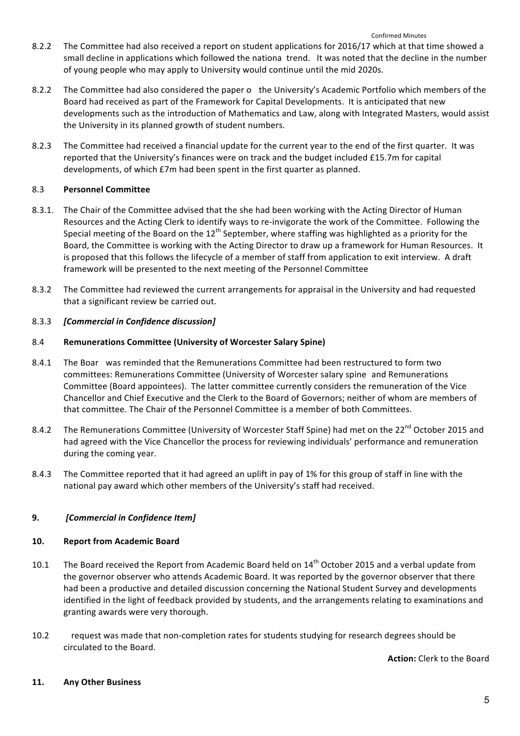- 8.2.2 The Committee had also received a report on student applications for 2016/17 which at that time showed a small decline in applications which followed the nationa trend. It was noted that the decline in the number of young people who may apply to University would continue until the mid 2020s.
- 8.2.2 The Committee had also considered the paper o the University's Academic Portfolio which members of the Board had received as part of the Framework for Capital Developments. It is anticipated that new developments such as the introduction of Mathematics and Law, along with Integrated Masters, would assist the University in its planned growth of student numbers.
- 8.2.3 The Committee had received a financial update for the current year to the end of the first quarter. It was reported that the University's finances were on track and the budget included £15.7m for capital developments, of which £7m had been spent in the first quarter as planned.

#### 8.3 **Personnel Committee**

- 8.3.1. The Chair of the Committee advised that the she had been working with the Acting Director of Human Resources and the Acting Clerk to identify ways to re-invigorate the work of the Committee. Following the Special meeting of the Board on the  $12^{\text{th}}$  September, where staffing was highlighted as a priority for the Board, the Committee is working with the Acting Director to draw up a framework for Human Resources. It framework will be presented to the next meeting of the Personnel Committee is proposed that this follows the lifecycle of a member of staff from application to exit interview. A draft
- 8.3.2 The Committee had reviewed the current arrangements for appraisal in the University and had requested that a significant review be carried out.

#### 8.3.3 *[Commercial in Confidence discussion]*

#### 8.4 **Remunerations Committee (University of Worcester Salary Spine)**

- 8.4.1 The Boar was reminded that the Remunerations Committee had been restructured to form two committees: Remunerations Committee (University of Worcester salary spine and Remunerations Committee (Board appointees). The latter committee currently considers the remuneration of the Vice Chancellor and Chief Executive and the Clerk to the Board of Governors; neither of whom are members of that committee. The Chair of the Personnel Committee is a member of both Committees.
- 8.4.2 The Remunerations Committee (University of Worcester Staff Spine) had met on the 22<sup>nd</sup> October 2015 and had agreed with the Vice Chancellor the process for reviewing individuals' performance and remuneration during the coming year.
- 8.4.3 The Committee reported that it had agreed an uplift in pay of 1% for this group of staff in line with the national pay award which other members of the University's staff had received.

#### **9.** *[Commercial in Confidence Item]*

#### **10. Report from Academic Board**

- 10.1 The Board received the Report from Academic Board held on  $14<sup>th</sup>$  October 2015 and a verbal update from the governor observer who attends Academic Board. It was reported by the governor observer that there had been a productive and detailed discussion concerning the National Student Survey and developments identified in the light of feedback provided by students, and the arrangements relating to examinations and granting awards were very thorough.
- 10.2 request was made that non-completion rates for students studying for research degrees should be circulated to the Board.

**Action:** Clerk to the Board

#### **11. Any Other Business**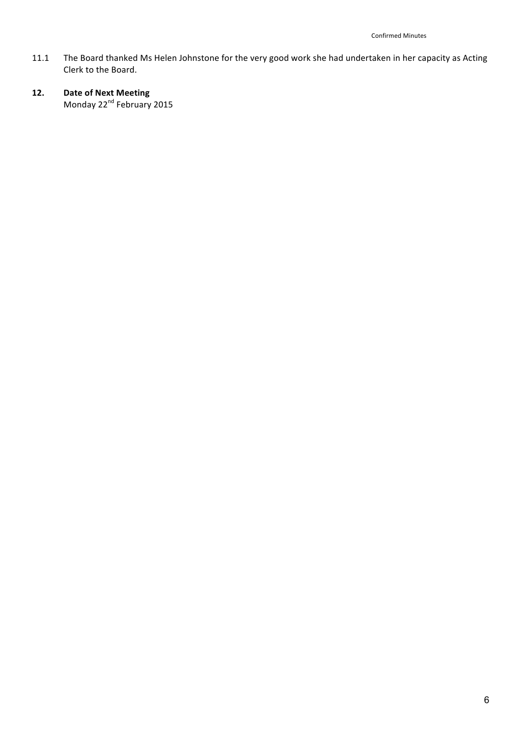- 11.1 The Board thanked Ms Helen Johnstone for the very good work she had undertaken in her capacity as Acting Clerk to the Board.
- **12. Date of Next Meeting** Monday 22<sup>nd</sup> February 2015